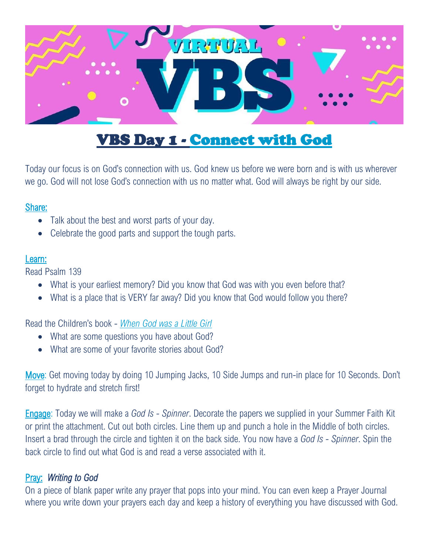

# VBS Day 1 - Connect with God

Today our focus is on God's connection with us. God knew us before we were born and is with us wherever we go. God will not lose God's connection with us no matter what. God will always be right by our side.

#### Share:

- Talk about the best and worst parts of your day.
- Celebrate the good parts and support the tough parts.

#### Learn:

Read Psalm 139

- What is your earliest memory? Did you know that God was with you even before that?
- What is a place that is VERY far away? Did you know that God would follow you there?

Read the Children's book - *[When God was a Little Girl](https://whengodwasalittlegirl.com/buy-the-book/)*

- What are some questions you have about God?
- What are some of your favorite stories about God?

Move: Get moving today by doing 10 Jumping Jacks, 10 Side Jumps and run-in place for 10 Seconds. Don't forget to hydrate and stretch first!

Engage: Today we will make a *God Is - Spinner*. Decorate the papers we supplied in your Summer Faith Kit or print the attachment. Cut out both circles. Line them up and punch a hole in the Middle of both circles. Insert a brad through the circle and tighten it on the back side. You now have a *God Is - Spinner*. Spin the back circle to find out what God is and read a verse associated with it.

## Pray: *Writing to God*

On a piece of blank paper write any prayer that pops into your mind. You can even keep a Prayer Journal where you write down your prayers each day and keep a history of everything you have discussed with God.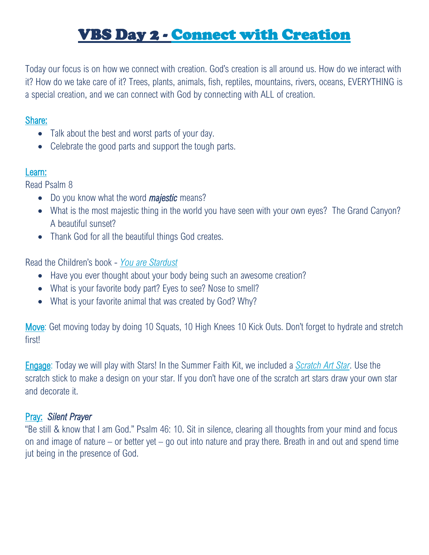# VBS Day 2 - Connect with Creation

Today our focus is on how we connect with creation. God's creation is all around us. How do we interact with it? How do we take care of it? Trees, plants, animals, fish, reptiles, mountains, rivers, oceans, EVERYTHING is a special creation, and we can connect with God by connecting with ALL of creation.

#### Share:

- Talk about the best and worst parts of your day.
- Celebrate the good parts and support the tough parts.

#### Learn:

Read Psalm 8

- Do you know what the word *majestic* means?
- What is the most majestic thing in the world you have seen with your own eyes? The Grand Canyon? A beautiful sunset?
- Thank God for all the beautiful things God creates.

Read the Children's book - *[You are Stardust](https://shop.owlkids.com/products/you-are-stardust?variant=20208750977)*

- Have you ever thought about your body being such an awesome creation?
- What is your favorite body part? Eyes to see? Nose to smell?
- What is your favorite animal that was created by God? Why?

Move: Get moving today by doing 10 Squats, 10 High Knees 10 Kick Outs. Don't forget to hydrate and stretch first!

Engage: Today we will play with Stars! In the Summer Faith Kit, we included a *[Scratch Art Star](https://www.orientaltrading.com/magic-color-scratch-star-christmas-ornaments-a2-57_6561.fltr?sku=57%2F6561&BP=PS544&ms=search&source=google&cm_mmc=GooglePLA-_-736570281-_-44071635732-_-57%2F6561&cm_mmca1=OTC%2BPLAs&cm_mmca2=GooglePLAs&cm_mmca3=PS544&cm_mmca4=FS39&cm_mmca5=Shopping&cm_mmca6=PLAs&cm_mmc10=Shopping&cm_mmca11=57%2F6561&cm_mmca12=24ct-Magic-Color-Scratch-Star-Christmas-Ornaments-Black&gclid=CjwKCAjwnPOEBhA0EiwA609Rec-KZE6_ufaqrz5GfU2AkUad0GqhOEFForFRL8TptnyyIauuI7czeBoCfDQQAvD_BwE)*. Use the scratch stick to make a design on your star. If you don't have one of the scratch art stars draw your own star and decorate it.

### Pray: *Silent Prayer*

"Be still & know that I am God." Psalm 46: 10. Sit in silence, clearing all thoughts from your mind and focus on and image of nature – or better yet – go out into nature and pray there. Breath in and out and spend time jut being in the presence of God.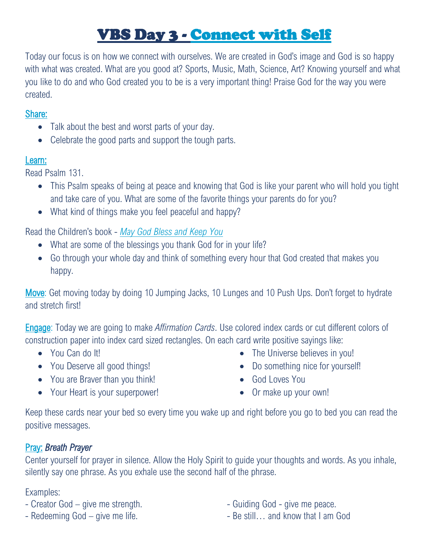# VBS Day 3 - Connect with Self

Today our focus is on how we connect with ourselves. We are created in God's image and God is so happy with what was created. What are you good at? Sports, Music, Math, Science, Art? Knowing yourself and what you like to do and who God created you to be is a very important thing! Praise God for the way you were created.

### Share:

- Talk about the best and worst parts of your day.
- Celebrate the good parts and support the tough parts.

## Learn:

Read Psalm 131.

- This Psalm speaks of being at peace and knowing that God is like your parent who will hold you tight and take care of you. What are some of the favorite things your parents do for you?
- What kind of things make you feel peaceful and happy?

Read the Children's book - *[May God Bless and Keep You](https://www.beamingbooks.com/store/product/9781506445311/May-God-Bless-You-and-Keep-You)*

- What are some of the blessings you thank God for in your life?
- Go through your whole day and think of something every hour that God created that makes you happy.

Move: Get moving today by doing 10 Jumping Jacks, 10 Lunges and 10 Push Ups. Don't forget to hydrate and stretch first!

Engage: Today we are going to make *Affirmation Cards*. Use colored index cards or cut different colors of construction paper into index card sized rectangles. On each card write positive sayings like:

- You Can do It!
- You Deserve all good things!
- You are Braver than you think!
- Your Heart is your superpower!
- The Universe believes in you!
- Do something nice for yourself!
- God Loves You
- Or make up your own!

Keep these cards near your bed so every time you wake up and right before you go to bed you can read the positive messages.

# Pray: *Breath Prayer*

Center yourself for prayer in silence. Allow the Holy Spirit to guide your thoughts and words. As you inhale, silently say one phrase. As you exhale use the second half of the phrase.

## Examples:

- Creator God give me strength.
- Redeeming God give me life.
- Guiding God give me peace.
- Be still… and know that I am God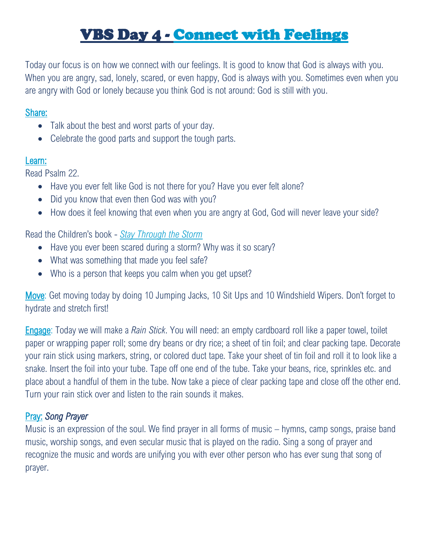# VBS Day 4 - Connect with Feelings

Today our focus is on how we connect with our feelings. It is good to know that God is always with you. When you are angry, sad, lonely, scared, or even happy, God is always with you. Sometimes even when you are angry with God or lonely because you think God is not around: God is still with you.

#### Share:

- Talk about the best and worst parts of your day.
- Celebrate the good parts and support the tough parts.

#### Learn:

Read Psalm 22.

- Have you ever felt like God is not there for you? Have you ever felt alone?
- Did you know that even then God was with you?
- How does it feel knowing that even when you are angry at God, God will never leave your side?

### Read the Children's book - *[Stay Through the Storm](https://www.beamingbooks.com/store/product/9781506450582/Stay-Through-the-Storm)*

- Have you ever been scared during a storm? Why was it so scary?
- What was something that made you feel safe?
- Who is a person that keeps you calm when you get upset?

Move: Get moving today by doing 10 Jumping Jacks, 10 Sit Ups and 10 Windshield Wipers. Don't forget to hydrate and stretch first!

Engage: Today we will make a *Rain Stick*. You will need: an empty cardboard roll like a paper towel, toilet paper or wrapping paper roll; some dry beans or dry rice; a sheet of tin foil; and clear packing tape. Decorate your rain stick using markers, string, or colored duct tape. Take your sheet of tin foil and roll it to look like a snake. Insert the foil into your tube. Tape off one end of the tube. Take your beans, rice, sprinkles etc. and place about a handful of them in the tube. Now take a piece of clear packing tape and close off the other end. Turn your rain stick over and listen to the rain sounds it makes.

## Pray: *Song Prayer*

Music is an expression of the soul. We find prayer in all forms of music – hymns, camp songs, praise band music, worship songs, and even secular music that is played on the radio. Sing a song of prayer and recognize the music and words are unifying you with ever other person who has ever sung that song of prayer.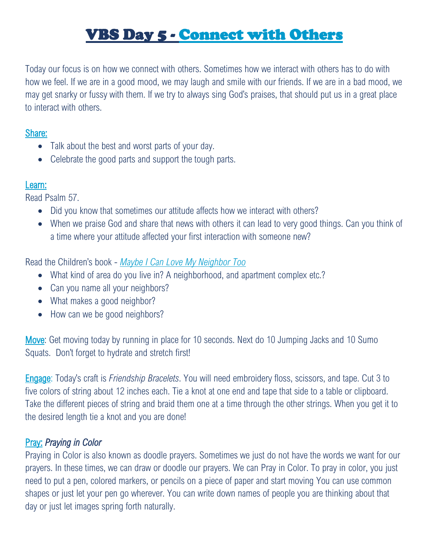# VBS Day 5 - Connect with Others

Today our focus is on how we connect with others. Sometimes how we interact with others has to do with how we feel. If we are in a good mood, we may laugh and smile with our friends. If we are in a bad mood, we may get snarky or fussy with them. If we try to always sing God's praises, that should put us in a great place to interact with others.

### Share:

- Talk about the best and worst parts of your day.
- Celebrate the good parts and support the tough parts.

## Learn:

Read Psalm 57.

- Did you know that sometimes our attitude affects how we interact with others?
- When we praise God and share that news with others it can lead to very good things. Can you think of a time where your attitude affected your first interaction with someone new?

## Read the Children's book - *[Maybe I Can Love](https://www.beamingbooks.com/store/product/9781506452012/Maybe-I-Can-Love-My-Neighbor-Too) My Neighbor Too*

- What kind of area do you live in? A neighborhood, and apartment complex etc.?
- Can you name all your neighbors?
- What makes a good neighbor?
- How can we be good neighbors?

Move: Get moving today by running in place for 10 seconds. Next do 10 Jumping Jacks and 10 Sumo Squats. Don't forget to hydrate and stretch first!

Engage: Today's craft is *Friendship Bracelets*. You will need embroidery floss, scissors, and tape. Cut 3 to five colors of string about 12 inches each. Tie a knot at one end and tape that side to a table or clipboard. Take the different pieces of string and braid them one at a time through the other strings. When you get it to the desired length tie a knot and you are done!

## Pray: *Praying in Color*

Praying in Color is also known as doodle prayers. Sometimes we just do not have the words we want for our prayers. In these times, we can draw or doodle our prayers. We can Pray in Color. To pray in color, you just need to put a pen, colored markers, or pencils on a piece of paper and start moving You can use common shapes or just let your pen go wherever. You can write down names of people you are thinking about that day or just let images spring forth naturally.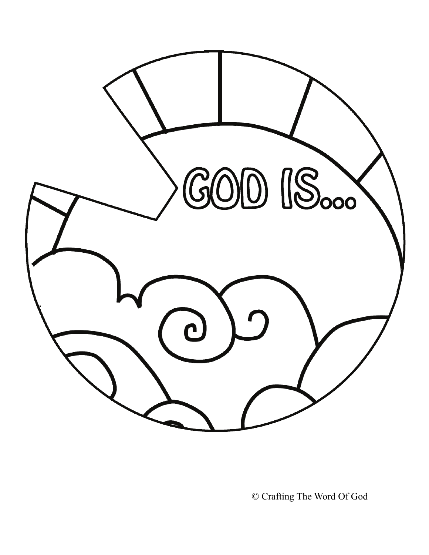

© Crafting The Word Of God